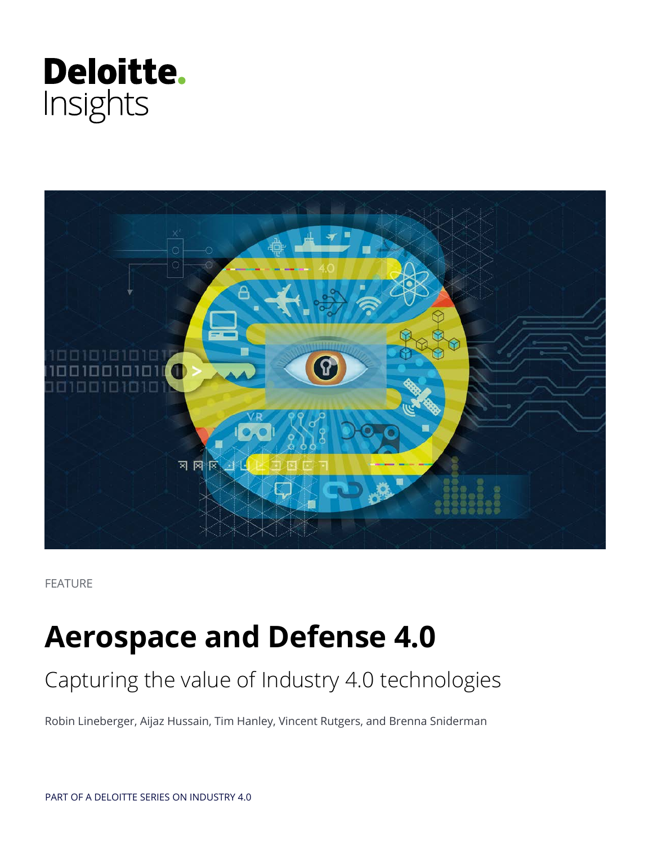



FEATURE

# **Aerospace and Defense 4.0**

# Capturing the value of Industry 4.0 technologies

Robin Lineberger, Aijaz Hussain, Tim Hanley, Vincent Rutgers, and Brenna Sniderman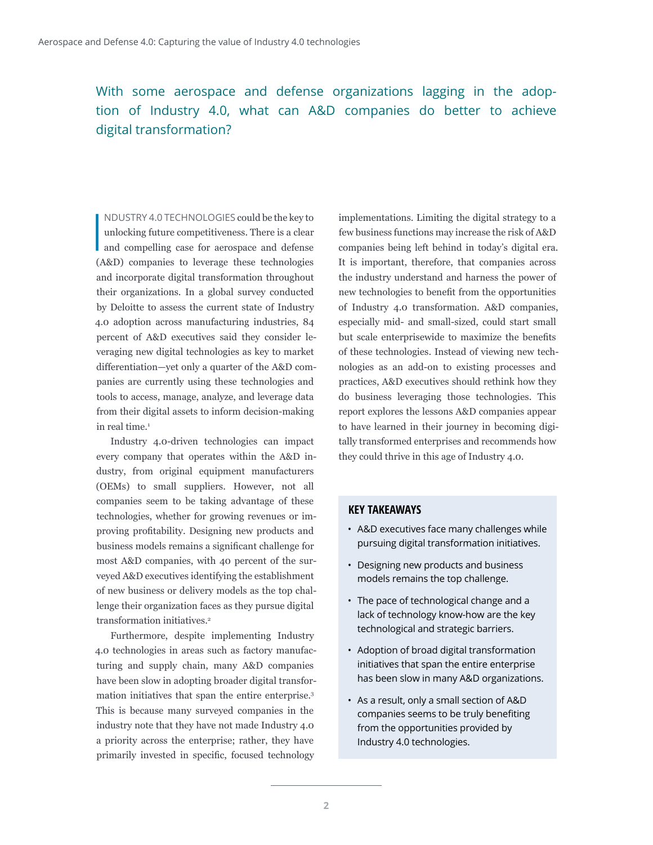## With some aerospace and defense organizations lagging in the adoption of Industry 4.0, what can A&D companies do better to achieve digital transformation?

 $\prod_{i=1}^n$ NDUSTRY 4.0 TECHNOLOGIES could be the key to unlocking future competitiveness. There is a clear and compelling case for aerospace and defense (A&D) companies to leverage these technologies and incorporate digital transformation throughout their organizations. In a global survey conducted by Deloitte to assess the current state of Industry 4.0 adoption across manufacturing industries, 84 percent of A&D executives said they consider leveraging new digital technologies as key to market differentiation—yet only a quarter of the A&D companies are currently using these technologies and tools to access, manage, analyze, and leverage data from their digital assets to inform decision-making in real time $<sup>1</sup>$ </sup>

Industry 4.0-driven technologies can impact every company that operates within the A&D industry, from original equipment manufacturers (OEMs) to small suppliers. However, not all companies seem to be taking advantage of these technologies, whether for growing revenues or improving profitability. Designing new products and business models remains a significant challenge for most A&D companies, with 40 percent of the surveyed A&D executives identifying the establishment of new business or delivery models as the top challenge their organization faces as they pursue digital transformation initiatives.<sup>2</sup>

Furthermore, despite implementing Industry 4.0 technologies in areas such as factory manufacturing and supply chain, many A&D companies have been slow in adopting broader digital transformation initiatives that span the entire enterprise.3 This is because many surveyed companies in the industry note that they have not made Industry 4.0 a priority across the enterprise; rather, they have primarily invested in specific, focused technology

implementations. Limiting the digital strategy to a few business functions may increase the risk of A&D companies being left behind in today's digital era. It is important, therefore, that companies across the industry understand and harness the power of new technologies to benefit from the opportunities of Industry 4.0 transformation. A&D companies, especially mid- and small-sized, could start small but scale enterprisewide to maximize the benefits of these technologies. Instead of viewing new technologies as an add-on to existing processes and practices, A&D executives should rethink how they do business leveraging those technologies. This report explores the lessons A&D companies appear to have learned in their journey in becoming digitally transformed enterprises and recommends how they could thrive in this age of Industry 4.0.

#### **KEY TAKEAWAYS**

- A&D executives face many challenges while pursuing digital transformation initiatives.
- Designing new products and business models remains the top challenge.
- The pace of technological change and a lack of technology know-how are the key technological and strategic barriers.
- Adoption of broad digital transformation initiatives that span the entire enterprise has been slow in many A&D organizations.
- As a result, only a small section of A&D companies seems to be truly benefiting from the opportunities provided by Industry 4.0 technologies.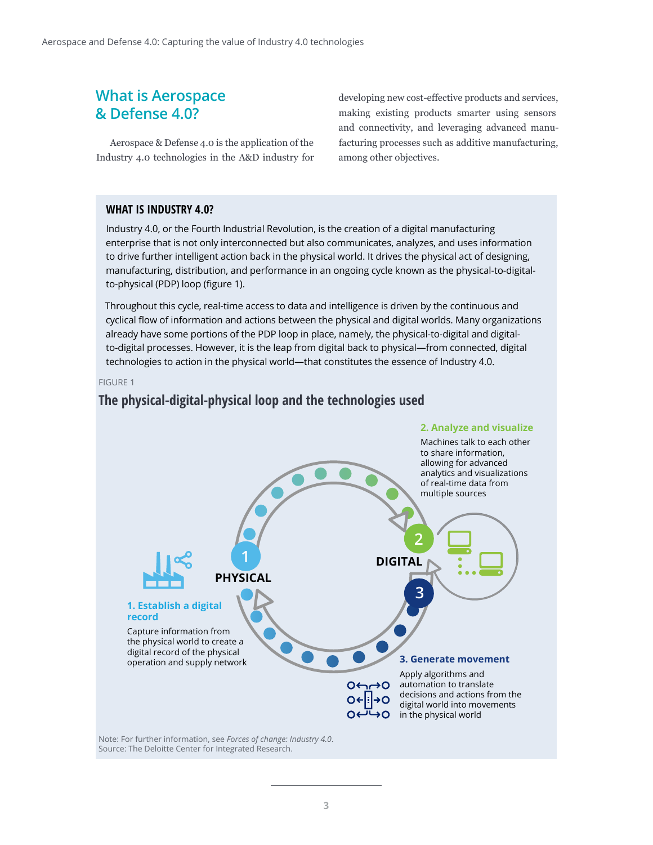## **What is Aerospace & Defense 4.0?**

Aerospace & Defense 4.0 is the application of the Industry 4.0 technologies in the A&D industry for developing new cost-effective products and services, making existing products smarter using sensors and connectivity, and leveraging advanced manufacturing processes such as additive manufacturing, among other objectives.

#### **WHAT IS INDUSTRY 4.0?**

Industry 4.0, or the Fourth Industrial Revolution, is the creation of a digital manufacturing enterprise that is not only interconnected but also communicates, analyzes, and uses information to drive further intelligent action back in the physical world. It drives the physical act of designing, manufacturing, distribution, and performance in an ongoing cycle known as the physical-to-digitalto-physical (PDP) loop (figure 1).

Throughout this cycle, real-time access to data and intelligence is driven by the continuous and cyclical flow of information and actions between the physical and digital worlds. Many organizations already have some portions of the PDP loop in place, namely, the physical-to-digital and digitalto-digital processes. However, it is the leap from digital back to physical—from connected, digital technologies to action in the physical world—that constitutes the essence of Industry 4.0.

FIGURE 1

### **The physical-digital-physical loop and the technologies used**



Note: For further information, see *Forces of change: Industry 4.0*. Source: The Deloitte Center for Integrated Research.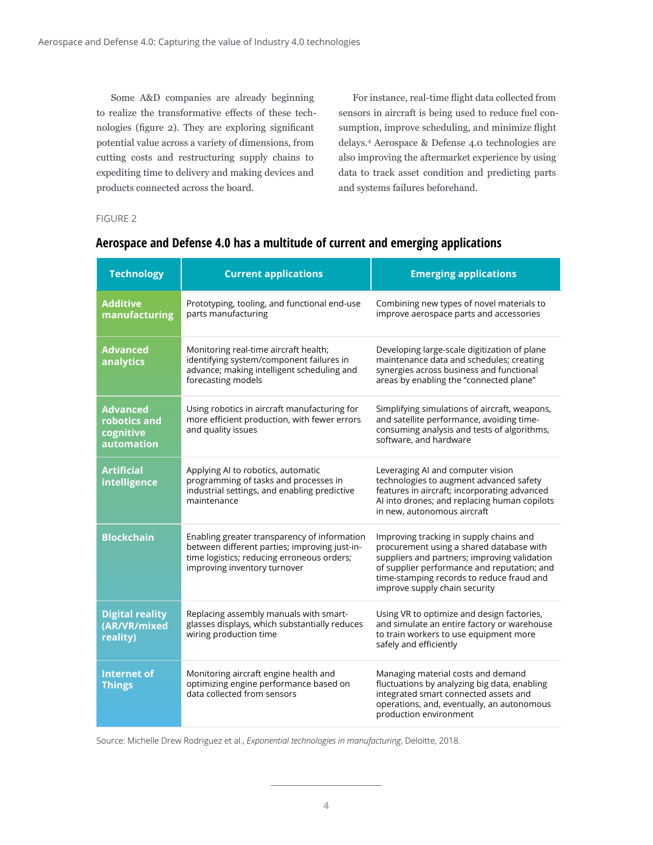Some A&D companies are already beginning to realize the transformative effects of these technologies (figure 2). They are exploring significant potential value across a variety of dimensions, from cutting costs and restructuring supply chains to expediting time to delivery and making devices and products connected across the board.

For instance, real-time flight data collected from sensors in aircraft is being used to reduce fuel consumption, improve scheduling, and minimize flight delays.4 Aerospace & Defense 4.0 technologies are also improving the aftermarket experience by using data to track asset condition and predicting parts and systems failures beforehand.

#### FIGURE 2

| <b>Technology</b>                                          | <b>Current applications</b>                                                                                                                                                 | <b>Emerging applications</b>                                                                                                                                                                                                                                     |
|------------------------------------------------------------|-----------------------------------------------------------------------------------------------------------------------------------------------------------------------------|------------------------------------------------------------------------------------------------------------------------------------------------------------------------------------------------------------------------------------------------------------------|
| <b>Additive</b><br>manufacturing                           | Prototyping, tooling, and functional end-use<br>parts manufacturing                                                                                                         | Combining new types of novel materials to<br>improve aerospace parts and accessories                                                                                                                                                                             |
| <b>Advanced</b><br>analytics                               | Monitoring real-time aircraft health;<br>identifying system/component failures in<br>advance; making intelligent scheduling and<br>forecasting models                       | Developing large-scale digitization of plane<br>maintenance data and schedules; creating<br>synergies across business and functional<br>areas by enabling the "connected plane"                                                                                  |
| <b>Advanced</b><br>robotics and<br>cognitive<br>automation | Using robotics in aircraft manufacturing for<br>more efficient production, with fewer errors<br>and quality issues                                                          | Simplifying simulations of aircraft, weapons,<br>and satellite performance, avoiding time-<br>consuming analysis and tests of algorithms,<br>software, and hardware                                                                                              |
| <b>Artificial</b><br>intelligence                          | Applying AI to robotics, automatic<br>programming of tasks and processes in<br>industrial settings, and enabling predictive<br>maintenance                                  | Leveraging AI and computer vision<br>technologies to augment advanced safety<br>features in aircraft; incorporating advanced<br>Al into drones; and replacing human copilots<br>in new, autonomous aircraft                                                      |
| <b>Blockchain</b>                                          | Enabling greater transparency of information<br>between different parties; improving just-in-<br>time logistics; reducing erroneous orders;<br>improving inventory turnover | Improving tracking in supply chains and<br>procurement using a shared database with<br>suppliers and partners; improving validation<br>of supplier performance and reputation; and<br>time-stamping records to reduce fraud and<br>improve supply chain security |
| <b>Digital reality</b><br>(AR/VR/mixed<br>reality)         | Replacing assembly manuals with smart-<br>glasses displays, which substantially reduces<br>wiring production time                                                           | Using VR to optimize and design factories,<br>and simulate an entire factory or warehouse<br>to train workers to use equipment more<br>safely and efficiently                                                                                                    |
| <b>Internet of</b><br><b>Things</b>                        | Monitoring aircraft engine health and<br>optimizing engine performance based on<br>data collected from sensors                                                              | Managing material costs and demand<br>fluctuations by analyzing big data, enabling<br>integrated smart connected assets and<br>operations, and, eventually, an autonomous<br>production environment                                                              |

#### **Aerospace and Defense 4.0 has a multitude of current and emerging applications**

Source: Michelle Drew Rodriguez et al., *Exponential technologies in manufacturing*, Deloitte, 2018.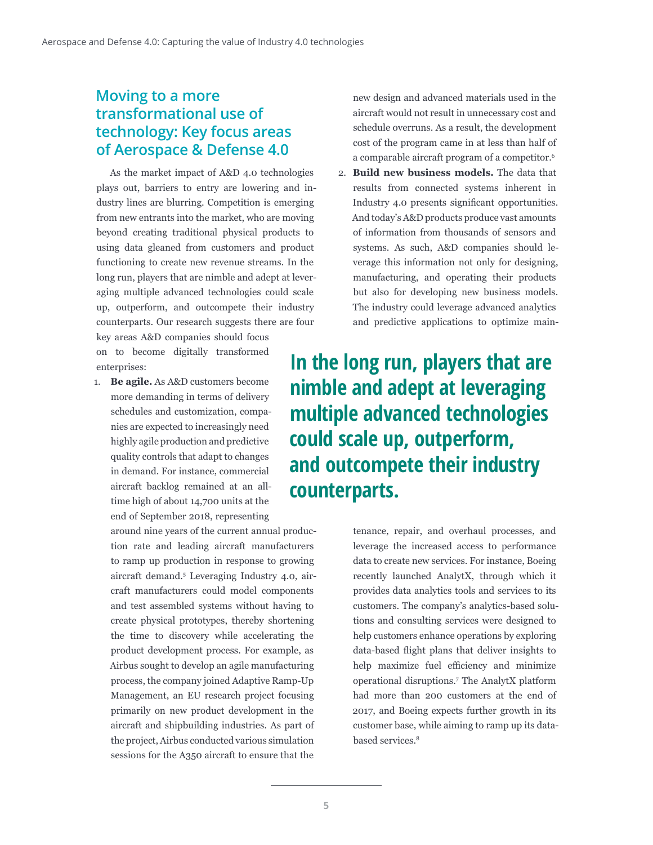## **Moving to a more transformational use of technology: Key focus areas of Aerospace & Defense 4.0**

As the market impact of A&D 4.0 technologies plays out, barriers to entry are lowering and industry lines are blurring. Competition is emerging from new entrants into the market, who are moving beyond creating traditional physical products to using data gleaned from customers and product functioning to create new revenue streams. In the long run, players that are nimble and adept at leveraging multiple advanced technologies could scale up, outperform, and outcompete their industry counterparts. Our research suggests there are four

key areas A&D companies should focus on to become digitally transformed enterprises:

1. **Be agile.** As A&D customers become more demanding in terms of delivery schedules and customization, companies are expected to increasingly need highly agile production and predictive quality controls that adapt to changes in demand. For instance, commercial aircraft backlog remained at an alltime high of about 14,700 units at the end of September 2018, representing

around nine years of the current annual production rate and leading aircraft manufacturers to ramp up production in response to growing aircraft demand.5 Leveraging Industry 4.0, aircraft manufacturers could model components and test assembled systems without having to create physical prototypes, thereby shortening the time to discovery while accelerating the product development process. For example, as Airbus sought to develop an agile manufacturing process, the company joined Adaptive Ramp-Up Management, an EU research project focusing primarily on new product development in the aircraft and shipbuilding industries. As part of the project, Airbus conducted various simulation sessions for the A350 aircraft to ensure that the

new design and advanced materials used in the aircraft would not result in unnecessary cost and schedule overruns. As a result, the development cost of the program came in at less than half of a comparable aircraft program of a competitor.6

2. **Build new business models.** The data that results from connected systems inherent in Industry 4.0 presents significant opportunities. And today's A&D products produce vast amounts of information from thousands of sensors and systems. As such, A&D companies should leverage this information not only for designing, manufacturing, and operating their products but also for developing new business models. The industry could leverage advanced analytics and predictive applications to optimize main-

# **In the long run, players that are nimble and adept at leveraging multiple advanced technologies could scale up, outperform, and outcompete their industry counterparts.**

tenance, repair, and overhaul processes, and leverage the increased access to performance data to create new services. For instance, Boeing recently launched AnalytX, through which it provides data analytics tools and services to its customers. The company's analytics-based solutions and consulting services were designed to help customers enhance operations by exploring data-based flight plans that deliver insights to help maximize fuel efficiency and minimize operational disruptions.7 The AnalytX platform had more than 200 customers at the end of 2017, and Boeing expects further growth in its customer base, while aiming to ramp up its databased services.<sup>8</sup>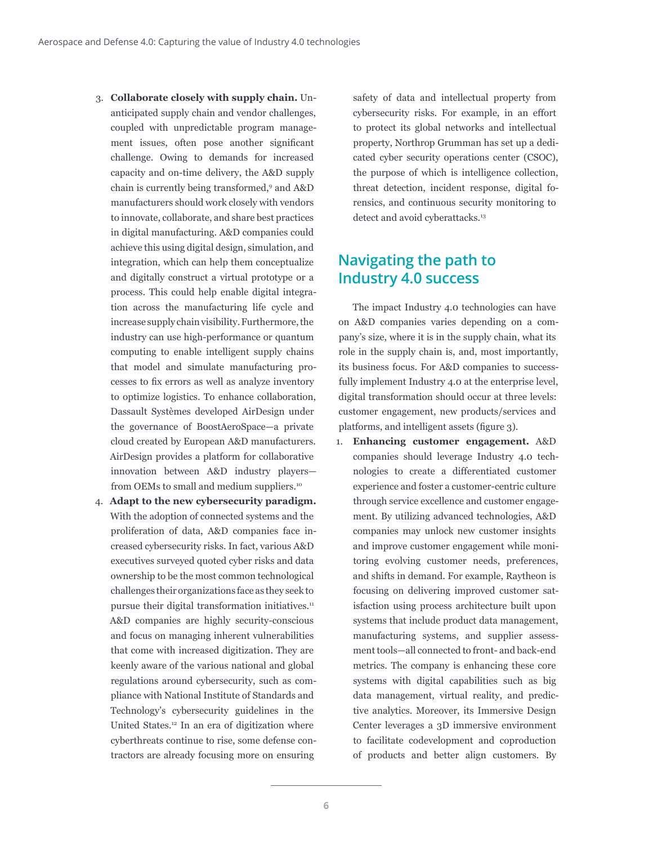- 3. **Collaborate closely with supply chain.** Unanticipated supply chain and vendor challenges, coupled with unpredictable program management issues, often pose another significant challenge. Owing to demands for increased capacity and on-time delivery, the A&D supply chain is currently being transformed,9 and A&D manufacturers should work closely with vendors to innovate, collaborate, and share best practices in digital manufacturing. A&D companies could achieve this using digital design, simulation, and integration, which can help them conceptualize and digitally construct a virtual prototype or a process. This could help enable digital integration across the manufacturing life cycle and increase supply chain visibility. Furthermore, the industry can use high-performance or quantum computing to enable intelligent supply chains that model and simulate manufacturing processes to fix errors as well as analyze inventory to optimize logistics. To enhance collaboration, Dassault Systèmes developed AirDesign under the governance of BoostAeroSpace—a private cloud created by European A&D manufacturers. AirDesign provides a platform for collaborative innovation between A&D industry players from OEMs to small and medium suppliers.<sup>10</sup>
- 4. **Adapt to the new cybersecurity paradigm.**  With the adoption of connected systems and the proliferation of data, A&D companies face increased cybersecurity risks. In fact, various A&D executives surveyed quoted cyber risks and data ownership to be the most common technological challenges their organizations face as they seek to pursue their digital transformation initiatives.<sup>11</sup> A&D companies are highly security-conscious and focus on managing inherent vulnerabilities that come with increased digitization. They are keenly aware of the various national and global regulations around cybersecurity, such as compliance with National Institute of Standards and Technology's cybersecurity guidelines in the United States.12 In an era of digitization where cyberthreats continue to rise, some defense contractors are already focusing more on ensuring

safety of data and intellectual property from cybersecurity risks. For example, in an effort to protect its global networks and intellectual property, Northrop Grumman has set up a dedicated cyber security operations center (CSOC), the purpose of which is intelligence collection, threat detection, incident response, digital forensics, and continuous security monitoring to detect and avoid cyberattacks.<sup>13</sup>

### **Navigating the path to Industry 4.0 success**

The impact Industry 4.0 technologies can have on A&D companies varies depending on a company's size, where it is in the supply chain, what its role in the supply chain is, and, most importantly, its business focus. For A&D companies to successfully implement Industry 4.0 at the enterprise level, digital transformation should occur at three levels: customer engagement, new products/services and platforms, and intelligent assets (figure 3).

1. **Enhancing customer engagement.** A&D companies should leverage Industry 4.0 technologies to create a differentiated customer experience and foster a customer-centric culture through service excellence and customer engagement. By utilizing advanced technologies, A&D companies may unlock new customer insights and improve customer engagement while monitoring evolving customer needs, preferences, and shifts in demand. For example, Raytheon is focusing on delivering improved customer satisfaction using process architecture built upon systems that include product data management, manufacturing systems, and supplier assessment tools—all connected to front- and back-end metrics. The company is enhancing these core systems with digital capabilities such as big data management, virtual reality, and predictive analytics. Moreover, its Immersive Design Center leverages a 3D immersive environment to facilitate codevelopment and coproduction of products and better align customers. By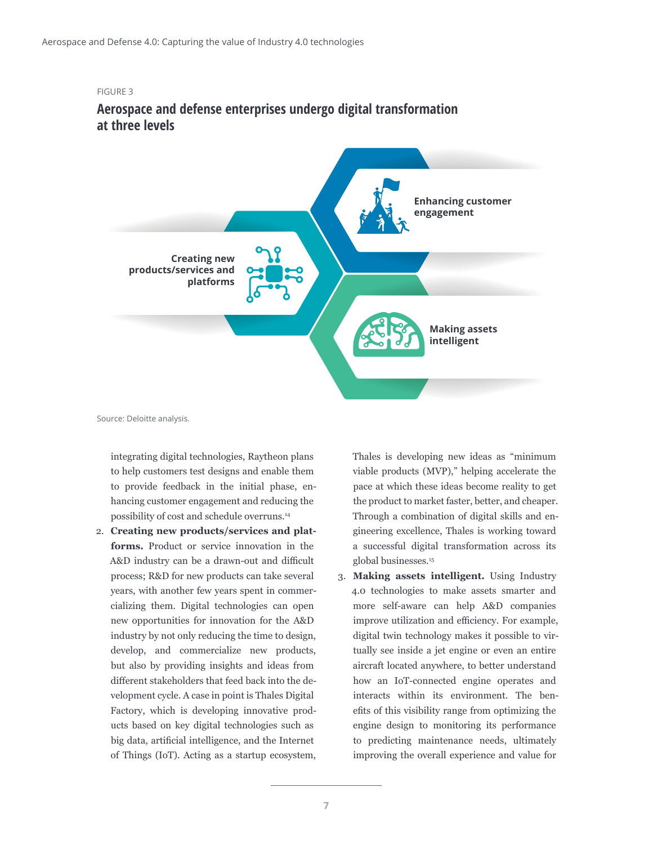

# **at three levels**

Source: Deloitte analysis.

integrating digital technologies, Raytheon plans to help customers test designs and enable them to provide feedback in the initial phase, enhancing customer engagement and reducing the possibility of cost and schedule overruns.14

2. **Creating new products/services and platforms.** Product or service innovation in the A&D industry can be a drawn-out and difficult process; R&D for new products can take several years, with another few years spent in commercializing them. Digital technologies can open new opportunities for innovation for the A&D industry by not only reducing the time to design, develop, and commercialize new products, but also by providing insights and ideas from different stakeholders that feed back into the development cycle. A case in point is Thales Digital Factory, which is developing innovative products based on key digital technologies such as big data, artificial intelligence, and the Internet of Things (IoT). Acting as a startup ecosystem, Thales is developing new ideas as "minimum viable products (MVP)," helping accelerate the pace at which these ideas become reality to get the product to market faster, better, and cheaper. Through a combination of digital skills and engineering excellence, Thales is working toward a successful digital transformation across its global businesses.15

3. **Making assets intelligent.** Using Industry 4.0 technologies to make assets smarter and more self-aware can help A&D companies improve utilization and efficiency. For example, digital twin technology makes it possible to virtually see inside a jet engine or even an entire aircraft located anywhere, to better understand how an IoT-connected engine operates and interacts within its environment. The benefits of this visibility range from optimizing the engine design to monitoring its performance to predicting maintenance needs, ultimately improving the overall experience and value for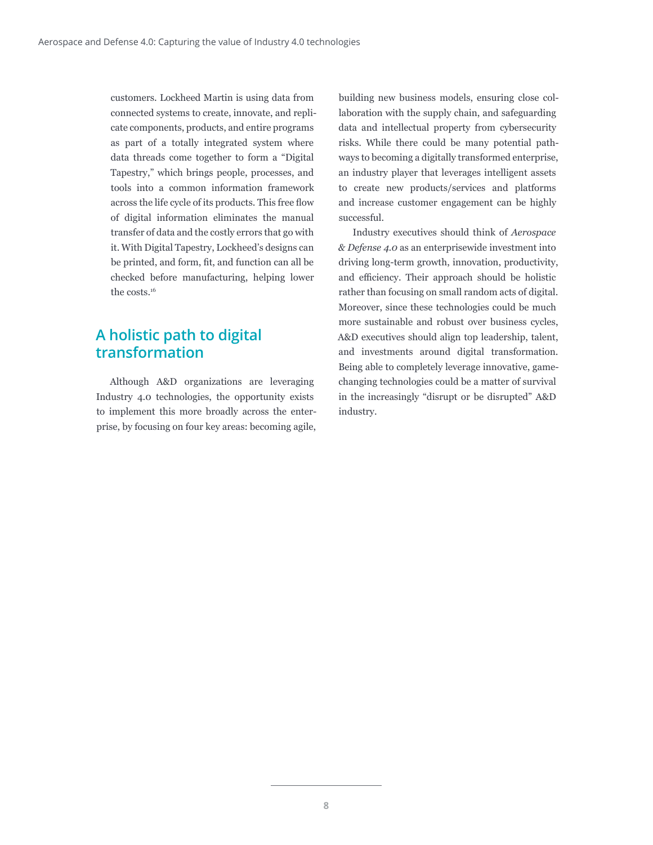customers. Lockheed Martin is using data from connected systems to create, innovate, and replicate components, products, and entire programs as part of a totally integrated system where data threads come together to form a "Digital Tapestry," which brings people, processes, and tools into a common information framework across the life cycle of its products. This free flow of digital information eliminates the manual transfer of data and the costly errors that go with it. With Digital Tapestry, Lockheed's designs can be printed, and form, fit, and function can all be checked before manufacturing, helping lower the costs.16

## **A holistic path to digital transformation**

Although A&D organizations are leveraging Industry 4.0 technologies, the opportunity exists to implement this more broadly across the enterprise, by focusing on four key areas: becoming agile, building new business models, ensuring close collaboration with the supply chain, and safeguarding data and intellectual property from cybersecurity risks. While there could be many potential pathways to becoming a digitally transformed enterprise, an industry player that leverages intelligent assets to create new products/services and platforms and increase customer engagement can be highly successful.

Industry executives should think of *Aerospace & Defense 4.0* as an enterprisewide investment into driving long-term growth, innovation, productivity, and efficiency. Their approach should be holistic rather than focusing on small random acts of digital. Moreover, since these technologies could be much more sustainable and robust over business cycles, A&D executives should align top leadership, talent, and investments around digital transformation. Being able to completely leverage innovative, gamechanging technologies could be a matter of survival in the increasingly "disrupt or be disrupted" A&D industry.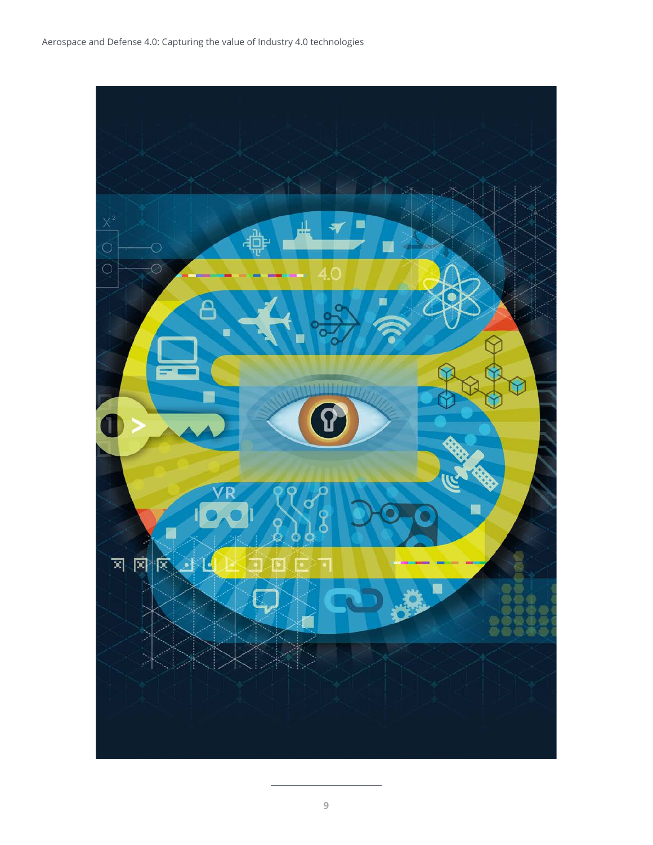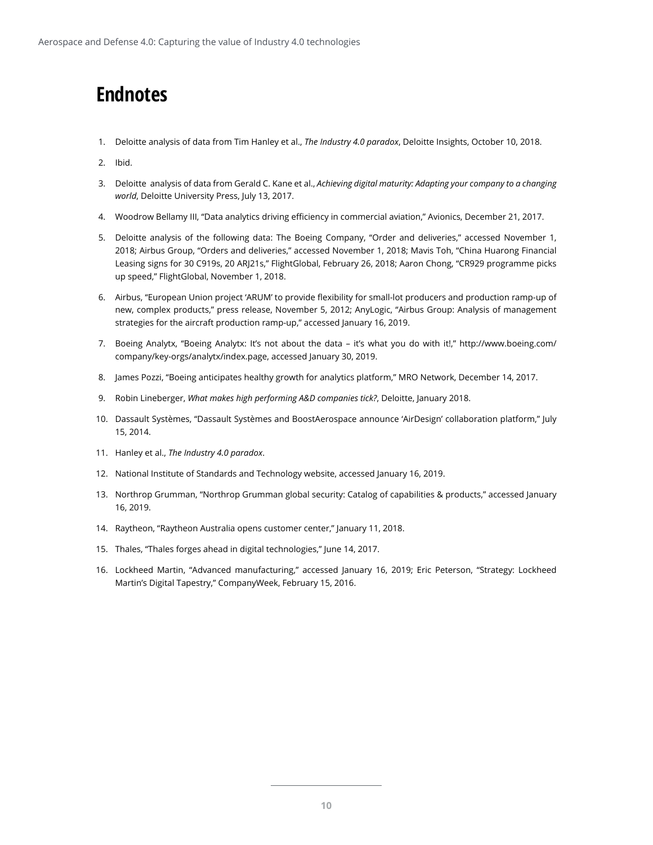## **Endnotes**

- 1. Deloitte analysis of data from Tim Hanley et al., *The Industry 4.0 paradox*, Deloitte Insights, October 10, 2018.
- 2. Ibid.
- 3. Deloitte analysis of data from Gerald C. Kane et al., *Achieving digital maturity: Adapting your company to a changing world*, Deloitte University Press, July 13, 2017.
- 4. Woodrow Bellamy III, "Data analytics driving efficiency in commercial aviation," Avionics, December 21, 2017.
- 5. Deloitte analysis of the following data: The Boeing Company, "Order and deliveries," accessed November 1, 2018; Airbus Group, "Orders and deliveries," accessed November 1, 2018; Mavis Toh, "China Huarong Financial Leasing signs for 30 C919s, 20 ARJ21s," FlightGlobal, February 26, 2018; Aaron Chong, "CR929 programme picks up speed," FlightGlobal, November 1, 2018.
- 6. Airbus, "European Union project 'ARUM' to provide flexibility for small-lot producers and production ramp-up of new, complex products," press release, November 5, 2012; AnyLogic, "Airbus Group: Analysis of management strategies for the aircraft production ramp-up," accessed January 16, 2019.
- 7. Boeing Analytx, "Boeing Analytx: It's not about the data it's what you do with it!," http://www.boeing.com/ company/key-orgs/analytx/index.page, accessed January 30, 2019.
- 8. James Pozzi, "Boeing anticipates healthy growth for analytics platform," MRO Network, December 14, 2017.
- 9. Robin Lineberger, *What makes high performing A&D companies tick?*, Deloitte, January 2018.
- 10. Dassault Systèmes, "Dassault Systèmes and BoostAerospace announce 'AirDesign' collaboration platform," July 15, 2014.
- 11. Hanley et al., *The Industry 4.0 paradox*.
- 12. National Institute of Standards and Technology website, accessed January 16, 2019.
- 13. Northrop Grumman, "Northrop Grumman global security: Catalog of capabilities & products," accessed January 16, 2019.
- 14. Raytheon, "Raytheon Australia opens customer center," January 11, 2018.
- 15. Thales, "Thales forges ahead in digital technologies," June 14, 2017.
- 16. Lockheed Martin, "Advanced manufacturing," accessed January 16, 2019; Eric Peterson, "Strategy: Lockheed Martin's Digital Tapestry," CompanyWeek, February 15, 2016.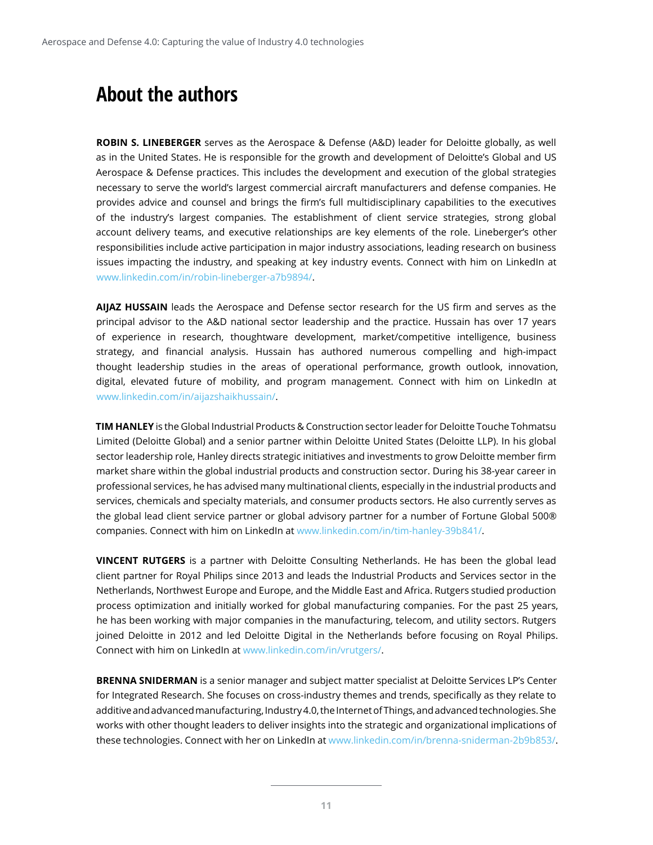## **About the authors**

**ROBIN S. LINEBERGER** serves as the Aerospace & Defense (A&D) leader for Deloitte globally, as well as in the United States. He is responsible for the growth and development of Deloitte's Global and US Aerospace & Defense practices. This includes the development and execution of the global strategies necessary to serve the world's largest commercial aircraft manufacturers and defense companies. He provides advice and counsel and brings the firm's full multidisciplinary capabilities to the executives of the industry's largest companies. The establishment of client service strategies, strong global account delivery teams, and executive relationships are key elements of the role. Lineberger's other responsibilities include active participation in major industry associations, leading research on business issues impacting the industry, and speaking at key industry events. Connect with him on LinkedIn at [www.linkedin.com/in/robin-lineberger-a7b9894/](http://www.linkedin.com/in/robin-lineberger-a7b9894/.).

**AIJAZ HUSSAIN** leads the Aerospace and Defense sector research for the US firm and serves as the principal advisor to the A&D national sector leadership and the practice. Hussain has over 17 years of experience in research, thoughtware development, market/competitive intelligence, business strategy, and financial analysis. Hussain has authored numerous compelling and high-impact thought leadership studies in the areas of operational performance, growth outlook, innovation, digital, elevated future of mobility, and program management. Connect with him on LinkedIn at [www.linkedin.com/in/aijazshaikhussain/](http://www.linkedin.com/in/aijazshaikhussain/.).

**TIM HANLEY** is the Global Industrial Products & Construction sector leader for Deloitte Touche Tohmatsu Limited (Deloitte Global) and a senior partner within Deloitte United States (Deloitte LLP). In his global sector leadership role, Hanley directs strategic initiatives and investments to grow Deloitte member firm market share within the global industrial products and construction sector. During his 38-year career in professional services, he has advised many multinational clients, especially in the industrial products and services, chemicals and specialty materials, and consumer products sectors. He also currently serves as the global lead client service partner or global advisory partner for a number of Fortune Global 500® companies. Connect with him on LinkedIn at [www.linkedin.com/in/tim-hanley-39b841/](http://www.linkedin.com/in/tim-hanley-39b841/).

**VINCENT RUTGERS** is a partner with Deloitte Consulting Netherlands. He has been the global lead client partner for Royal Philips since 2013 and leads the Industrial Products and Services sector in the Netherlands, Northwest Europe and Europe, and the Middle East and Africa. Rutgers studied production process optimization and initially worked for global manufacturing companies. For the past 25 years, he has been working with major companies in the manufacturing, telecom, and utility sectors. Rutgers joined Deloitte in 2012 and led Deloitte Digital in the Netherlands before focusing on Royal Philips. Connect with him on LinkedIn at [www.linkedin.com/in/vrutgers/.](http://www.linkedin.com/in/vrutgers/)

**BRENNA SNIDERMAN** is a senior manager and subject matter specialist at Deloitte Services LP's Center for Integrated Research. She focuses on cross-industry themes and trends, specifically as they relate to additive and advanced manufacturing, Industry 4.0, the Internet of Things, and advanced technologies. She works with other thought leaders to deliver insights into the strategic and organizational implications of these technologies. Connect with her on LinkedIn at [www.linkedin.com/in/brenna-sniderman-2b9b853/](http://www.linkedin.com/in/brenna-sniderman-2b9b853/).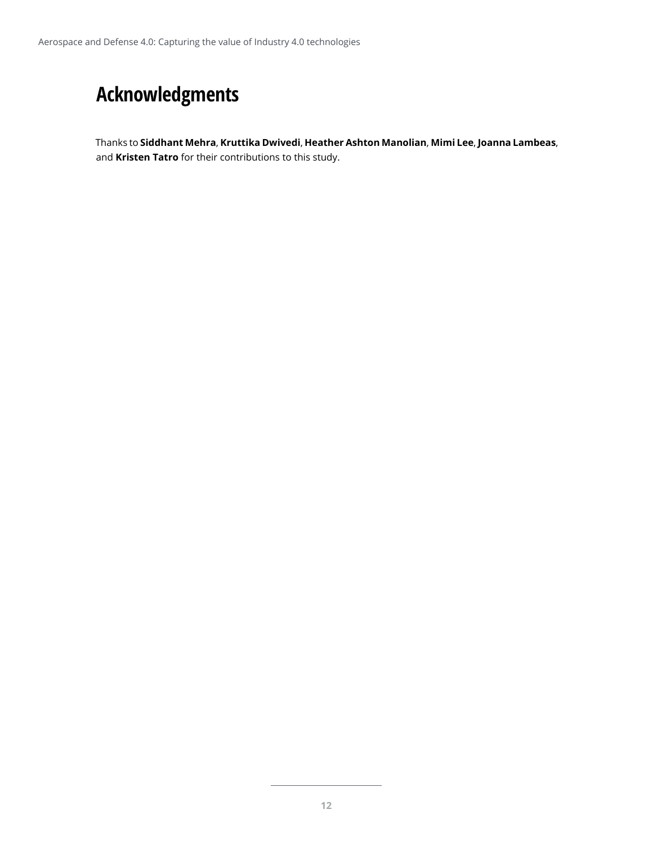# **Acknowledgments**

Thanks to **Siddhant Mehra**, **Kruttika Dwivedi**, **Heather Ashton Manolian**, **Mimi Lee**, **Joanna Lambeas**, and **Kristen Tatro** for their contributions to this study.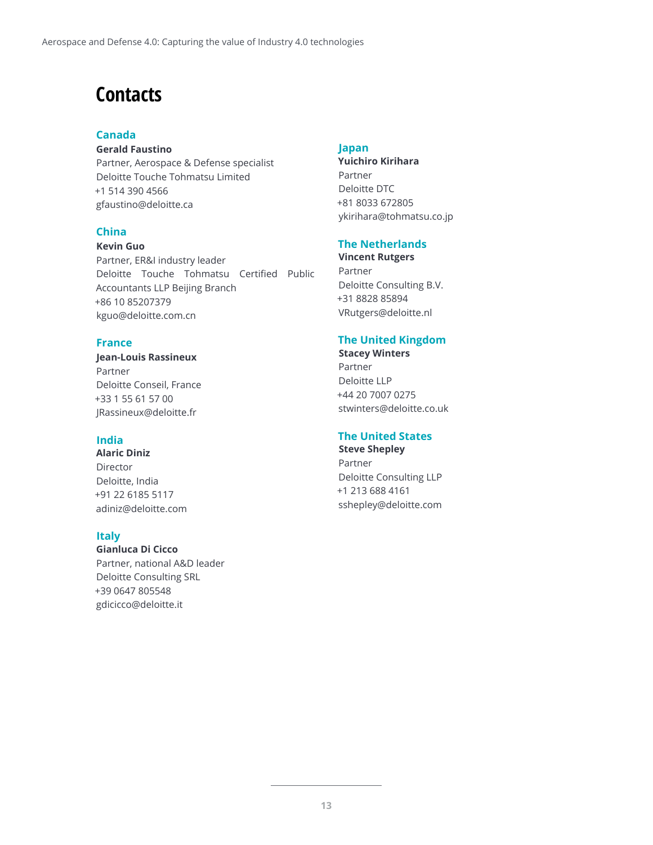# **Contacts**

#### **Canada**

#### **Gerald Faustino**

Partner, Aerospace & Defense specialist Deloitte Touche Tohmatsu Limited +1 514 390 4566 gfaustino@deloitte.ca

#### **China**

#### **Kevin Guo**

Partner, ER&I industry leader Deloitte Touche Tohmatsu Certified Public Accountants LLP Beijing Branch +86 10 85207379 kguo@deloitte.com.cn

#### **France**

#### **Jean-Louis Rassineux** Partner Deloitte Conseil, France +33 1 55 61 57 00 JRassineux@deloitte.fr

#### **India**

**Alaric Diniz** Director Deloitte, India +91 22 6185 5117 adiniz@deloitte.com

#### **Italy**

**Gianluca Di Cicco** Partner, national A&D leader Deloitte Consulting SRL +39 0647 805548 gdicicco@deloitte.it

#### **Japan**

**Yuichiro Kirihara** Partner Deloitte DTC +81 8033 672805 ykirihara@tohmatsu.co.jp

#### **The Netherlands**

**Vincent Rutgers** Partner Deloitte Consulting B.V. +31 8828 85894 VRutgers@deloitte.nl

#### **The United Kingdom**

**Stacey Winters** Partner Deloitte LLP +44 20 7007 0275 stwinters@deloitte.co.uk

#### **The United States**

**Steve Shepley**  Partner Deloitte Consulting LLP +1 213 688 4161 sshepley@deloitte.com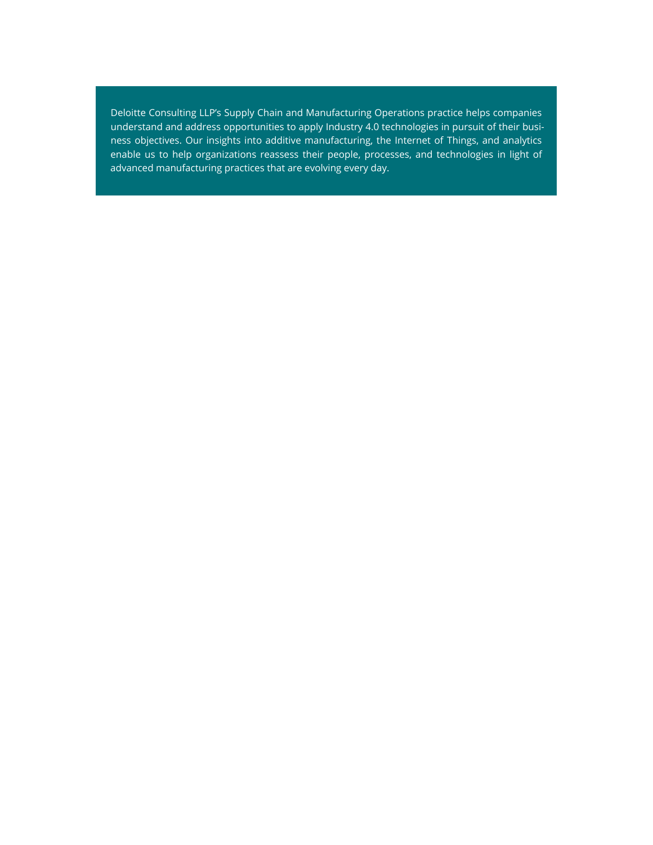Deloitte Consulting LLP's Supply Chain and Manufacturing Operations practice helps companies understand and address opportunities to apply Industry 4.0 technologies in pursuit of their business objectives. Our insights into additive manufacturing, the Internet of Things, and analytics enable us to help organizations reassess their people, processes, and technologies in light of advanced manufacturing practices that are evolving every day.